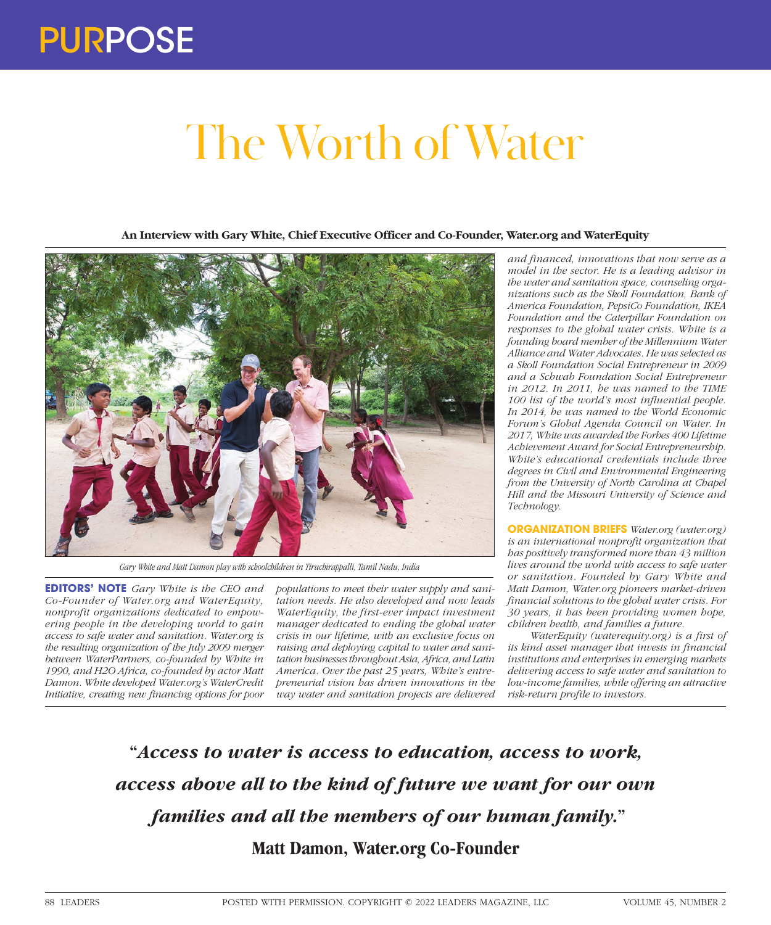## The Worth of Water

**An Interview with Gary White, Chief Executive Officer and Co-Founder, Water.org and WaterEquity**



*Gary White and Matt Damon play with schoolchildren in Tiruchirappalli, Tamil Nadu, India*

**EDITORS' NOTE** *Gary White is the CEO and Co-Founder of Water.org and WaterEquity, nonprofit organizations dedicated to empowering people in the developing world to gain access to safe water and sanitation. Water.org is the resulting organization of the July 2009 merger between WaterPartners, co-founded by White in 1990, and H2O Africa, co-founded by actor Matt Damon. White developed Water.org's WaterCredit Initiative, creating new financing options for poor* 

*populations to meet their water supply and sanitation needs. He also developed and now leads WaterEquity, the first-ever impact investment manager dedicated to ending the global water crisis in our lifetime, with an exclusive focus on raising and deploying capital to water and sanitation businesses throughout Asia, Africa, and Latin America. Over the past 25 years, White's entrepreneurial vision has driven innovations in the way water and sanitation projects are delivered* 

*and financed, innovations that now serve as a model in the sector. He is a leading advisor in the water and sanitation space, counseling organizations such as the Skoll Foundation, Bank of America Foundation, PepsiCo Foundation, IKEA Foundation and the Caterpillar Foundation on responses to the global water crisis. White is a founding board member of the Millennium Water Alliance and Water Advocates. He was selected as a Skoll Foundation Social Entrepreneur in 2009 and a Schwab Foundation Social Entrepreneur in 2012. In 2011, he was named to the TIME 100 list of the world's most influential people. In 2014, he was named to the World Economic Forum's Global Agenda Council on Water. In 2017, White was awarded the Forbes 400 Lifetime Achievement Award for Social Entrepreneurship. White's educational credentials include three degrees in Civil and Environmental Engineering from the University of North Carolina at Chapel Hill and the Missouri University of Science and Technology.*

**ORGANIZATION BRIEFS** *Water.org (water.org) is an international nonprofit organization that has positively transformed more than 43 million lives around the world with access to safe water or sanitation. Founded by Gary White and Matt Damon, Water.org pioneers market-driven financial solutions to the global water crisis. For 30 years, it has been providing women hope, children health, and families a future.*

*WaterEquity (waterequity.org) is a first of its kind asset manager that invests in financial institutions and enterprises in emerging markets delivering access to safe water and sanitation to low-income families, while offering an attractive risk-return profile to investors.*

**"***Access to water is access to education, access to work, access above all to the kind of future we want for our own families and all the members of our human family.***" Matt Damon, Water.org Co-Founder**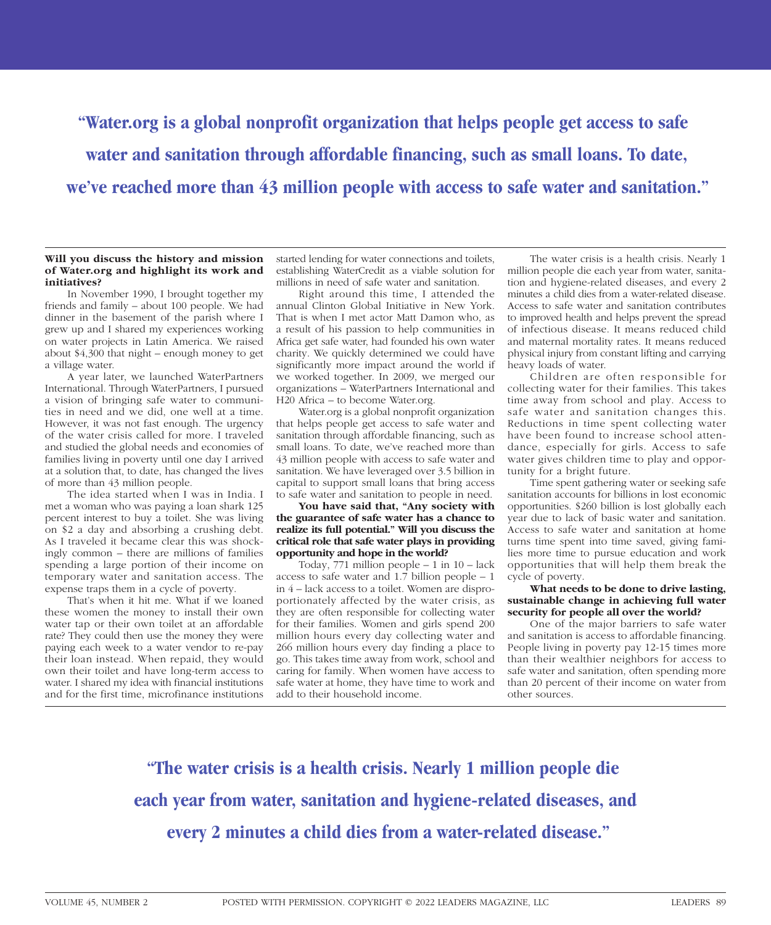**"Water.org is a global nonprofit organization that helps people get access to safe water and sanitation through affordable financing, such as small loans. To date, we've reached more than 43 million people with access to safe water and sanitation."**

### **Will you discuss the history and mission of Water.org and highlight its work and initiatives?**

In November 1990, I brought together my friends and family – about 100 people. We had dinner in the basement of the parish where I grew up and I shared my experiences working on water projects in Latin America. We raised about \$4,300 that night – enough money to get a village water.

A year later, we launched WaterPartners International. Through WaterPartners, I pursued a vision of bringing safe water to communities in need and we did, one well at a time. However, it was not fast enough. The urgency of the water crisis called for more. I traveled and studied the global needs and economies of families living in poverty until one day I arrived at a solution that, to date, has changed the lives of more than 43 million people.

The idea started when I was in India. I met a woman who was paying a loan shark 125 percent interest to buy a toilet. She was living on \$2 a day and absorbing a crushing debt. As I traveled it became clear this was shockingly common – there are millions of families spending a large portion of their income on temporary water and sanitation access. The expense traps them in a cycle of poverty.

That's when it hit me. What if we loaned these women the money to install their own water tap or their own toilet at an affordable rate? They could then use the money they were paying each week to a water vendor to re-pay their loan instead. When repaid, they would own their toilet and have long-term access to water. I shared my idea with financial institutions and for the first time, microfinance institutions

started lending for water connections and toilets, establishing WaterCredit as a viable solution for millions in need of safe water and sanitation.

Right around this time, I attended the annual Clinton Global Initiative in New York. That is when I met actor Matt Damon who, as a result of his passion to help communities in Africa get safe water, had founded his own water charity. We quickly determined we could have significantly more impact around the world if we worked together. In 2009, we merged our organizations – WaterPartners International and H20 Africa – to become Water.org.

Water.org is a global nonprofit organization that helps people get access to safe water and sanitation through affordable financing, such as small loans. To date, we've reached more than 43 million people with access to safe water and sanitation. We have leveraged over 3.5 billion in capital to support small loans that bring access to safe water and sanitation to people in need.

**You have said that, "Any society with the guarantee of safe water has a chance to realize its full potential." Will you discuss the critical role that safe water plays in providing opportunity and hope in the world?**

Today,  $771$  million people – 1 in  $10$  – lack access to safe water and 1.7 billion people – 1 in 4 – lack access to a toilet. Women are disproportionately affected by the water crisis, as they are often responsible for collecting water for their families. Women and girls spend 200 million hours every day collecting water and 266 million hours every day finding a place to go. This takes time away from work, school and caring for family. When women have access to safe water at home, they have time to work and add to their household income.

The water crisis is a health crisis. Nearly 1 million people die each year from water, sanitation and hygiene-related diseases, and every 2 minutes a child dies from a water-related disease. Access to safe water and sanitation contributes to improved health and helps prevent the spread of infectious disease. It means reduced child and maternal mortality rates. It means reduced physical injury from constant lifting and carrying heavy loads of water.

Children are often responsible for collecting water for their families. This takes time away from school and play. Access to safe water and sanitation changes this. Reductions in time spent collecting water have been found to increase school attendance, especially for girls. Access to safe water gives children time to play and opportunity for a bright future.

Time spent gathering water or seeking safe sanitation accounts for billions in lost economic opportunities. \$260 billion is lost globally each year due to lack of basic water and sanitation. Access to safe water and sanitation at home turns time spent into time saved, giving families more time to pursue education and work opportunities that will help them break the cycle of poverty.

**What needs to be done to drive lasting, sustainable change in achieving full water security for people all over the world?**

One of the major barriers to safe water and sanitation is access to affordable financing. People living in poverty pay 12-15 times more than their wealthier neighbors for access to safe water and sanitation, often spending more than 20 percent of their income on water from other sources.

**"The water crisis is a health crisis. Nearly 1 million people die each year from water, sanitation and hygiene-related diseases, and every 2 minutes a child dies from a water-related disease."**